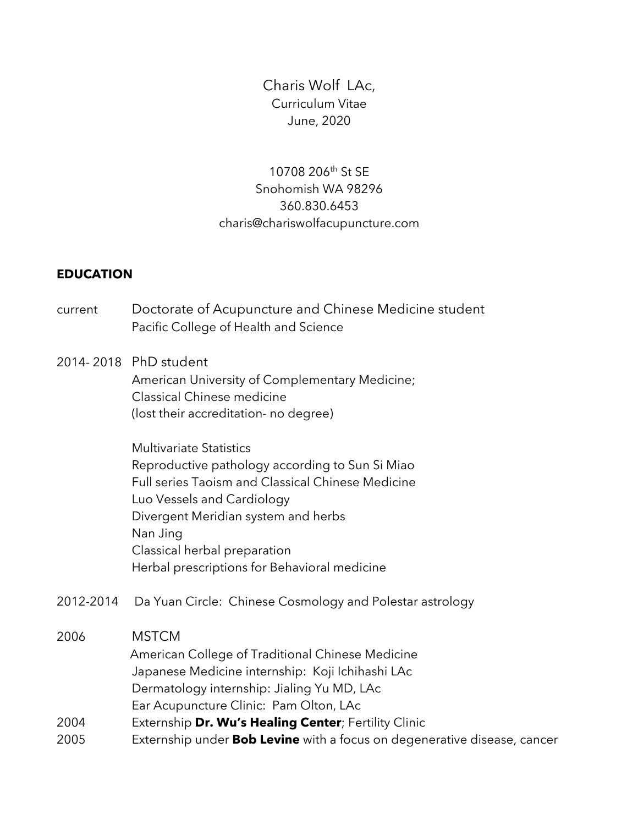Charis Wolf LAc, Curriculum Vitae June, 2020

# 10708 206th St SE Snohomish WA 98296 360.830.6453 charis@chariswolfacupuncture.com

### **EDUCATION**

current Doctorate of Acupuncture and Chinese Medicine student Pacific College of Health and Science

### 2014- 2018 PhD student

American University of Complementary Medicine; Classical Chinese medicine (lost their accreditation- no degree)

Multivariate Statistics Reproductive pathology according to Sun Si Miao Full series Taoism and Classical Chinese Medicine Luo Vessels and Cardiology Divergent Meridian system and herbs Nan Jing Classical herbal preparation Herbal prescriptions for Behavioral medicine

2012-2014 Da Yuan Circle: Chinese Cosmology and Polestar astrology

### 2006 MSTCM

- American College of Traditional Chinese Medicine Japanese Medicine internship: Koji Ichihashi LAc Dermatology internship: Jialing Yu MD, LAc
- Ear Acupuncture Clinic: Pam Olton, LAc
- 2004 Externship **Dr. Wu's Healing Center**; Fertility Clinic
- 2005 Externship under **Bob Levine** with a focus on degenerative disease, cancer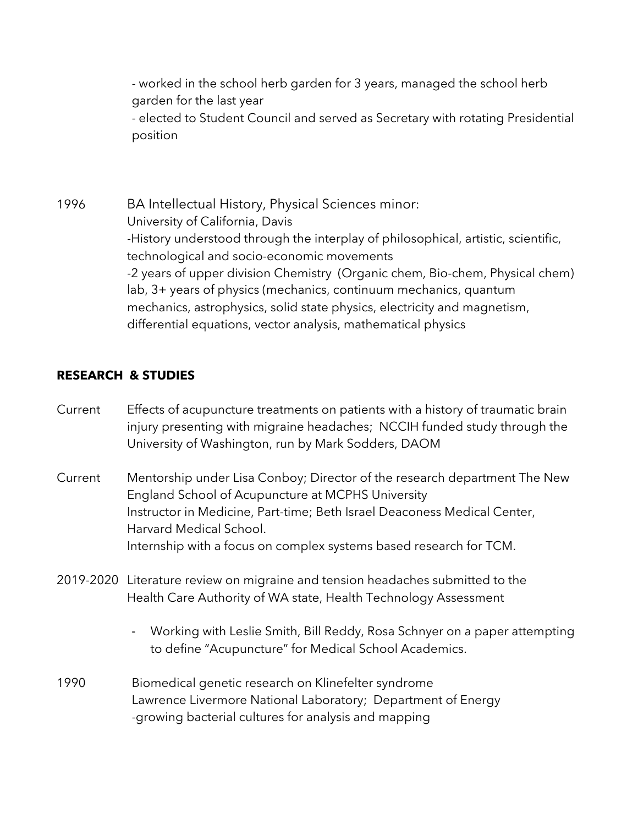- worked in the school herb garden for 3 years, managed the school herb garden for the last year

- elected to Student Council and served as Secretary with rotating Presidential position

1996 BA Intellectual History, Physical Sciences minor: University of California, Davis -History understood through the interplay of philosophical, artistic, scientific, technological and socio-economic movements -2 years of upper division Chemistry (Organic chem, Bio-chem, Physical chem) lab, 3+ years of physics (mechanics, continuum mechanics, quantum mechanics, astrophysics, solid state physics, electricity and magnetism, differential equations, vector analysis, mathematical physics

# **RESEARCH & STUDIES**

- Current Effects of acupuncture treatments on patients with a history of traumatic brain injury presenting with migraine headaches; NCCIH funded study through the University of Washington, run by Mark Sodders, DAOM
- Current Mentorship under Lisa Conboy; Director of the research department The New England School of Acupuncture at MCPHS University Instructor in Medicine, Part-time; Beth Israel Deaconess Medical Center, Harvard Medical School. Internship with a focus on complex systems based research for TCM.
- 2019-2020 Literature review on migraine and tension headaches submitted to the Health Care Authority of WA state, Health Technology Assessment
	- Working with Leslie Smith, Bill Reddy, Rosa Schnyer on a paper attempting to define "Acupuncture" for Medical School Academics.
- 1990 Biomedical genetic research on Klinefelter syndrome Lawrence Livermore National Laboratory; Department of Energy -growing bacterial cultures for analysis and mapping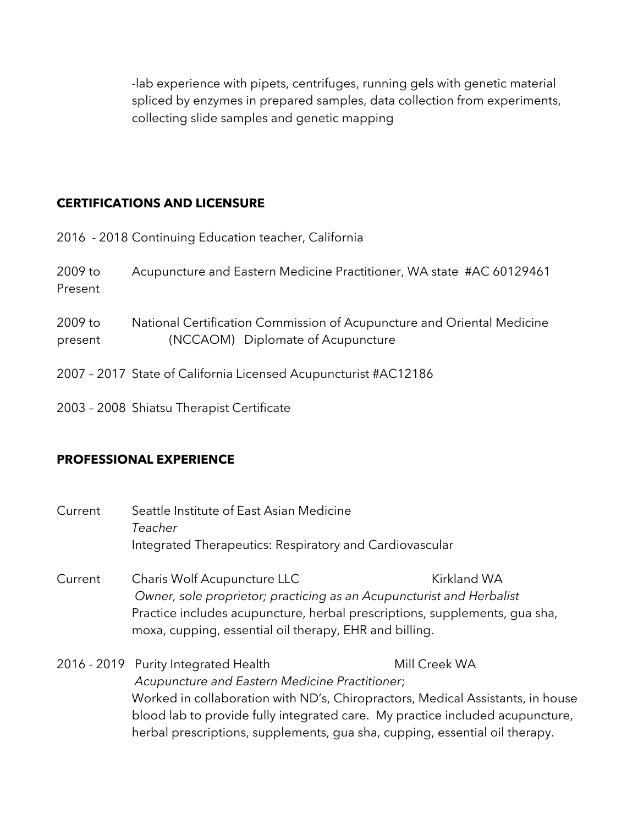-lab experience with pipets, centrifuges, running gels with genetic material spliced by enzymes in prepared samples, data collection from experiments, collecting slide samples and genetic mapping

## **CERTIFICATIONS AND LICENSURE**

|                    | 2016 - 2018 Continuing Education teacher, California                                                        |
|--------------------|-------------------------------------------------------------------------------------------------------------|
| 2009 to<br>Present | Acupuncture and Eastern Medicine Practitioner, WA state #AC 60129461                                        |
| 2009 to<br>present | National Certification Commission of Acupuncture and Oriental Medicine<br>(NCCAOM) Diplomate of Acupuncture |
|                    | 2007 - 2017 State of California Licensed Acupuncturist #AC12186                                             |
|                    | 2003 - 2008 Shiatsu Therapist Certificate                                                                   |

## **PROFESSIONAL EXPERIENCE**

| Current | Seattle Institute of East Asian Medicine<br>Teacher<br>Integrated Therapeutics: Respiratory and Cardiovascular                                                                                                                                                                                                                           |               |  |
|---------|------------------------------------------------------------------------------------------------------------------------------------------------------------------------------------------------------------------------------------------------------------------------------------------------------------------------------------------|---------------|--|
| Current | Kirkland WA<br>Charis Wolf Acupuncture LLC<br>Owner, sole proprietor; practicing as an Acupuncturist and Herbalist<br>Practice includes acupuncture, herbal prescriptions, supplements, gua sha,<br>moxa, cupping, essential oil therapy, EHR and billing.                                                                               |               |  |
|         | 2016 - 2019 Purity Integrated Health<br>Acupuncture and Eastern Medicine Practitioner;<br>Worked in collaboration with ND's, Chiropractors, Medical Assistants, in house<br>blood lab to provide fully integrated care. My practice included acupuncture,<br>herbal prescriptions, supplements, gua sha, cupping, essential oil therapy. | Mill Creek WA |  |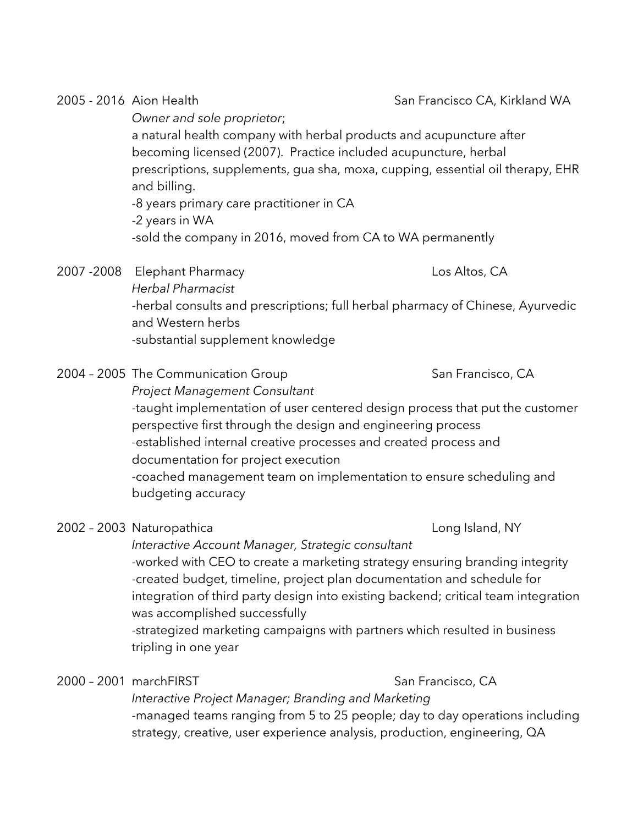2005 - 2016 Aion Health San Francisco CA, Kirkland WA *Owner and sole proprietor*; a natural health company with herbal products and acupuncture after becoming licensed (2007). Practice included acupuncture, herbal prescriptions, supplements, gua sha, moxa, cupping, essential oil therapy, EHR and billing. -8 years primary care practitioner in CA -2 years in WA -sold the company in 2016, moved from CA to WA permanently

- 2007 -2008 Elephant Pharmacy Los Altos, CA *Herbal Pharmacist* -herbal consults and prescriptions; full herbal pharmacy of Chinese, Ayurvedic and Western herbs -substantial supplement knowledge
- 2004 2005 The Communication Group San Francisco, CA *Project Management Consultant* -taught implementation of user centered design process that put the customer perspective first through the design and engineering process -established internal creative processes and created process and documentation for project execution -coached management team on implementation to ensure scheduling and budgeting accuracy
- 2002 2003 Naturopathica Long Island, NY

*Interactive Account Manager, Strategic consultant* -worked with CEO to create a marketing strategy ensuring branding integrity -created budget, timeline, project plan documentation and schedule for integration of third party design into existing backend; critical team integration was accomplished successfully

-strategized marketing campaigns with partners which resulted in business tripling in one year

# 2000 – 2001 marchFIRST San Francisco, CA

*Interactive Project Manager; Branding and Marketing* -managed teams ranging from 5 to 25 people; day to day operations including strategy, creative, user experience analysis, production, engineering, QA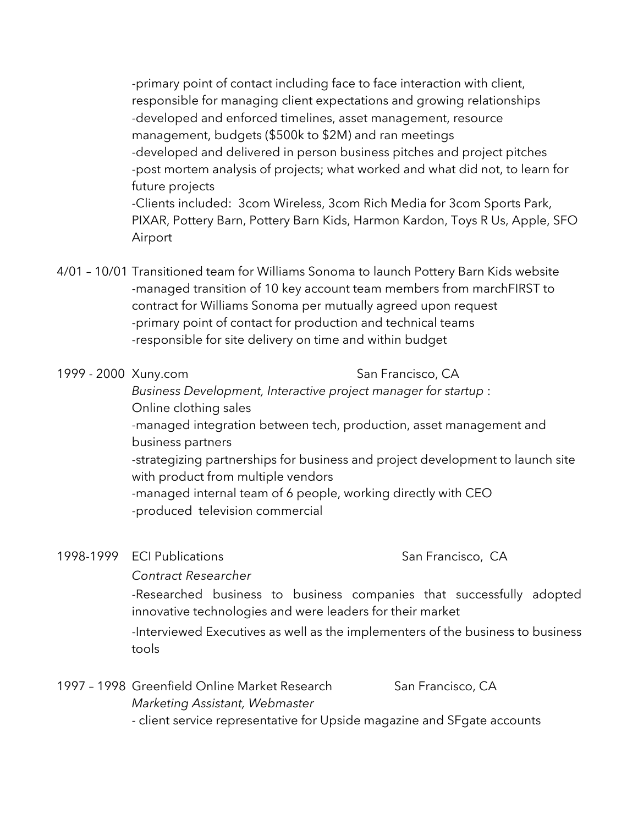-primary point of contact including face to face interaction with client, responsible for managing client expectations and growing relationships -developed and enforced timelines, asset management, resource management, budgets (\$500k to \$2M) and ran meetings -developed and delivered in person business pitches and project pitches -post mortem analysis of projects; what worked and what did not, to learn for future projects -Clients included: 3com Wireless, 3com Rich Media for 3com Sports Park, PIXAR, Pottery Barn, Pottery Barn Kids, Harmon Kardon, Toys R Us, Apple, SFO Airport

4/01 – 10/01 Transitioned team for Williams Sonoma to launch Pottery Barn Kids website -managed transition of 10 key account team members from marchFIRST to contract for Williams Sonoma per mutually agreed upon request -primary point of contact for production and technical teams -responsible for site delivery on time and within budget

### 1999 - 2000 Xuny.com San Francisco, CA

*Business Development, Interactive project manager for startup* : Online clothing sales -managed integration between tech, production, asset management and

business partners -strategizing partnerships for business and project development to launch site

with product from multiple vendors -managed internal team of 6 people, working directly with CEO -produced television commercial

### 1998-1999 ECI Publications San Francisco, CA

### *Contract Researcher*

-Researched business to business companies that successfully adopted innovative technologies and were leaders for their market

-Interviewed Executives as well as the implementers of the business to business tools

| 1997 - 1998 Greenfield Online Market Research                           | San Francisco, CA |
|-------------------------------------------------------------------------|-------------------|
| Marketing Assistant, Webmaster                                          |                   |
| - client service representative for Upside magazine and SFgate accounts |                   |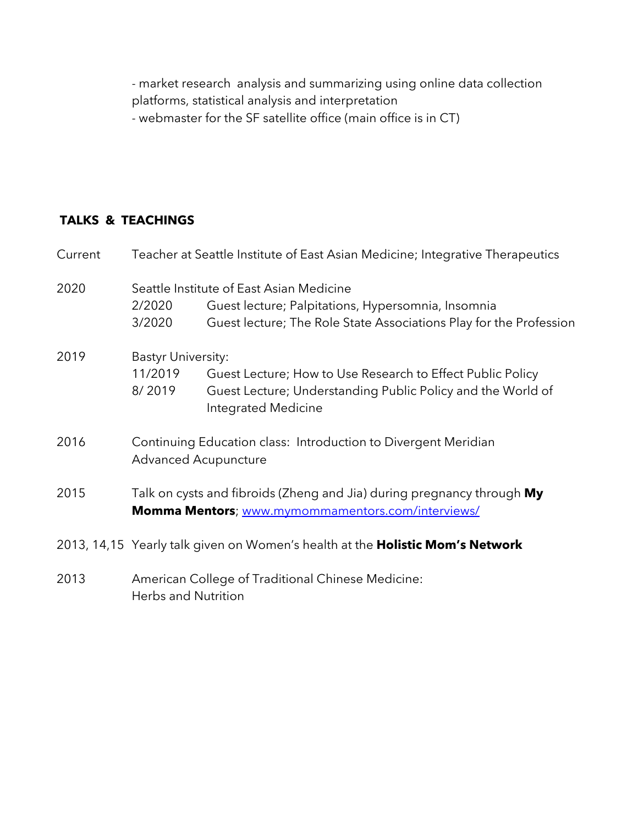- market research analysis and summarizing using online data collection platforms, statistical analysis and interpretation - webmaster for the SF satellite office (main office is in CT)

# **TALKS & TEACHINGS**

| Current | Teacher at Seattle Institute of East Asian Medicine; Integrative Therapeutics                                               |                                                                                                                                                                      |  |
|---------|-----------------------------------------------------------------------------------------------------------------------------|----------------------------------------------------------------------------------------------------------------------------------------------------------------------|--|
| 2020    | 2/2020<br>3/2020                                                                                                            | Seattle Institute of East Asian Medicine<br>Guest lecture; Palpitations, Hypersomnia, Insomnia<br>Guest lecture; The Role State Associations Play for the Profession |  |
| 2019    | <b>Bastyr University:</b><br>11/2019<br>8/2019                                                                              | Guest Lecture; How to Use Research to Effect Public Policy<br>Guest Lecture; Understanding Public Policy and the World of<br>Integrated Medicine                     |  |
| 2016    | Continuing Education class: Introduction to Divergent Meridian<br><b>Advanced Acupuncture</b>                               |                                                                                                                                                                      |  |
| 2015    | Talk on cysts and fibroids (Zheng and Jia) during pregnancy through My<br>Momma Mentors; www.mymommamentors.com/interviews/ |                                                                                                                                                                      |  |
|         | 2013, 14,15 Yearly talk given on Women's health at the <b>Holistic Mom's Network</b>                                        |                                                                                                                                                                      |  |
| 2013    | American College of Traditional Chinese Medicine:<br><b>Herbs and Nutrition</b>                                             |                                                                                                                                                                      |  |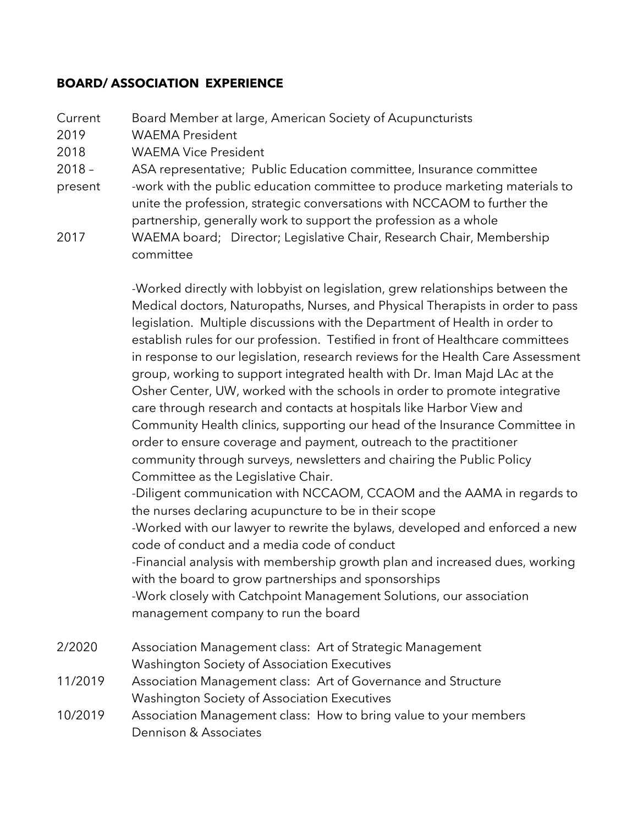### **BOARD/ ASSOCIATION EXPERIENCE**

Current Board Member at large, American Society of Acupuncturists 2019 WAEMA President 2018 WAEMA Vice President 2018 – ASA representative; Public Education committee, Insurance committee present -work with the public education committee to produce marketing materials to unite the profession, strategic conversations with NCCAOM to further the partnership, generally work to support the profession as a whole

2017 WAEMA board; Director; Legislative Chair, Research Chair, Membership committee

> -Worked directly with lobbyist on legislation, grew relationships between the Medical doctors, Naturopaths, Nurses, and Physical Therapists in order to pass legislation. Multiple discussions with the Department of Health in order to establish rules for our profession. Testified in front of Healthcare committees in response to our legislation, research reviews for the Health Care Assessment group, working to support integrated health with Dr. Iman Majd LAc at the Osher Center, UW, worked with the schools in order to promote integrative care through research and contacts at hospitals like Harbor View and Community Health clinics, supporting our head of the Insurance Committee in order to ensure coverage and payment, outreach to the practitioner community through surveys, newsletters and chairing the Public Policy Committee as the Legislative Chair. -Diligent communication with NCCAOM, CCAOM and the AAMA in regards to

the nurses declaring acupuncture to be in their scope

-Worked with our lawyer to rewrite the bylaws, developed and enforced a new code of conduct and a media code of conduct

-Financial analysis with membership growth plan and increased dues, working with the board to grow partnerships and sponsorships

-Work closely with Catchpoint Management Solutions, our association management company to run the board

- 2/2020 Association Management class: Art of Strategic Management Washington Society of Association Executives
- 11/2019 Association Management class: Art of Governance and Structure Washington Society of Association Executives
- 10/2019 Association Management class: How to bring value to your members Dennison & Associates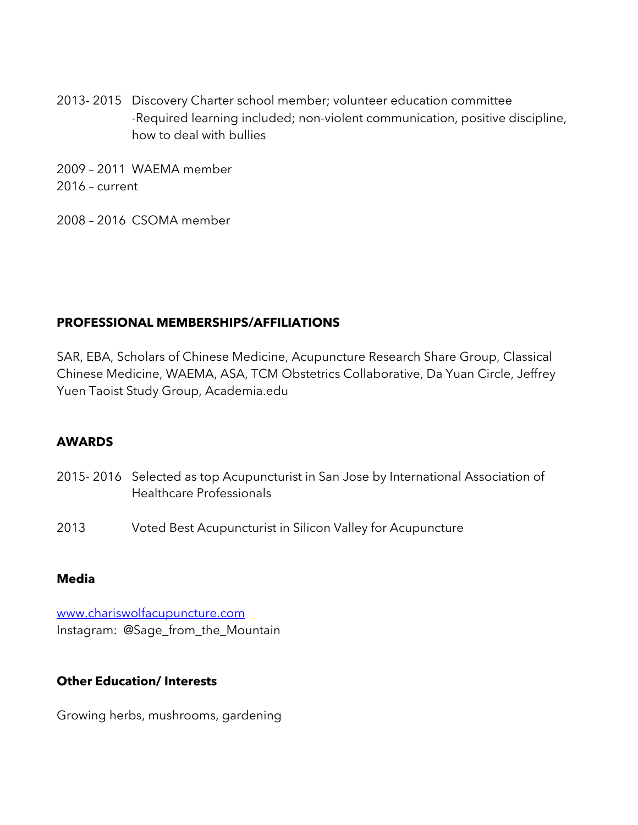- 2013- 2015 Discovery Charter school member; volunteer education committee -Required learning included; non-violent communication, positive discipline, how to deal with bullies
- 2009 2011 WAEMA member 2016 – current
- 2008 2016 CSOMA member

# **PROFESSIONAL MEMBERSHIPS/AFFILIATIONS**

SAR, EBA, Scholars of Chinese Medicine, Acupuncture Research Share Group, Classical Chinese Medicine, WAEMA, ASA, TCM Obstetrics Collaborative, Da Yuan Circle, Jeffrey Yuen Taoist Study Group, Academia.edu

# **AWARDS**

- 2015- 2016 Selected as top Acupuncturist in San Jose by International Association of Healthcare Professionals
- 2013 Voted Best Acupuncturist in Silicon Valley for Acupuncture

### **Media**

www.chariswolfacupuncture.com Instagram: @Sage\_from\_the\_Mountain

### **Other Education/ Interests**

Growing herbs, mushrooms, gardening